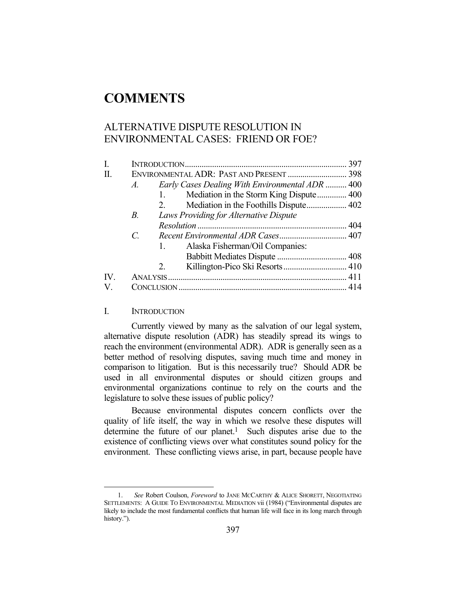# **COMMENTS**

# ALTERNATIVE DISPUTE RESOLUTION IN ENVIRONMENTAL CASES: FRIEND OR FOE?

| I.                    |                             |                                                 |  |
|-----------------------|-----------------------------|-------------------------------------------------|--|
| H.                    |                             | ENVIRONMENTAL ADR: PAST AND PRESENT  398        |  |
|                       | $A_{\cdot}$                 | Early Cases Dealing With Environmental ADR  400 |  |
|                       |                             | Mediation in the Storm King Dispute 400<br>1.   |  |
|                       |                             | 2.                                              |  |
|                       | <i>B</i> .                  | Laws Providing for Alternative Dispute          |  |
|                       |                             |                                                 |  |
|                       | $\mathcal{C}_{\mathcal{C}}$ |                                                 |  |
|                       |                             | Alaska Fisherman/Oil Companies:<br>1.           |  |
|                       |                             |                                                 |  |
|                       |                             | Killington-Pico Ski Resorts 410<br>2.           |  |
| $\mathbf{IV}_{\cdot}$ |                             |                                                 |  |
| V.                    |                             |                                                 |  |
|                       |                             |                                                 |  |

# I. INTRODUCTION

1

 Currently viewed by many as the salvation of our legal system, alternative dispute resolution (ADR) has steadily spread its wings to reach the environment (environmental ADR). ADR is generally seen as a better method of resolving disputes, saving much time and money in comparison to litigation. But is this necessarily true? Should ADR be used in all environmental disputes or should citizen groups and environmental organizations continue to rely on the courts and the legislature to solve these issues of public policy?

 Because environmental disputes concern conflicts over the quality of life itself, the way in which we resolve these disputes will determine the future of our planet.<sup>1</sup> Such disputes arise due to the existence of conflicting views over what constitutes sound policy for the environment. These conflicting views arise, in part, because people have

 <sup>1.</sup> *See* Robert Coulson, *Foreword* to JANE MCCARTHY & ALICE SHORETT, NEGOTIATING SETTLEMENTS: A GUIDE TO ENVIRONMENTAL MEDIATION vii (1984) ("Environmental disputes are likely to include the most fundamental conflicts that human life will face in its long march through history.").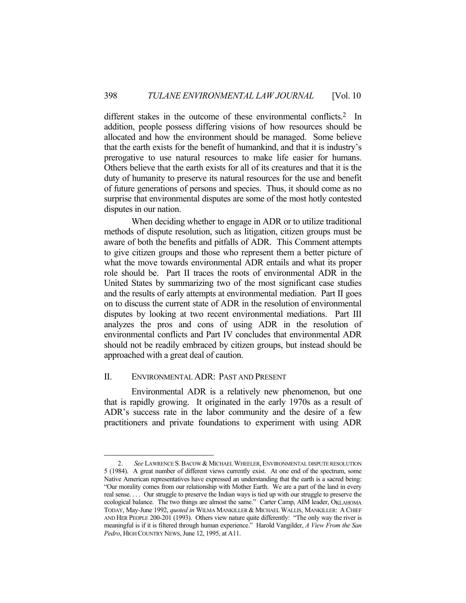different stakes in the outcome of these environmental conflicts.<sup>2</sup> In addition, people possess differing visions of how resources should be allocated and how the environment should be managed. Some believe that the earth exists for the benefit of humankind, and that it is industry's prerogative to use natural resources to make life easier for humans. Others believe that the earth exists for all of its creatures and that it is the duty of humanity to preserve its natural resources for the use and benefit of future generations of persons and species. Thus, it should come as no surprise that environmental disputes are some of the most hotly contested disputes in our nation.

 When deciding whether to engage in ADR or to utilize traditional methods of dispute resolution, such as litigation, citizen groups must be aware of both the benefits and pitfalls of ADR. This Comment attempts to give citizen groups and those who represent them a better picture of what the move towards environmental ADR entails and what its proper role should be. Part II traces the roots of environmental ADR in the United States by summarizing two of the most significant case studies and the results of early attempts at environmental mediation. Part II goes on to discuss the current state of ADR in the resolution of environmental disputes by looking at two recent environmental mediations. Part III analyzes the pros and cons of using ADR in the resolution of environmental conflicts and Part IV concludes that environmental ADR should not be readily embraced by citizen groups, but instead should be approached with a great deal of caution.

### II. ENVIRONMENTAL ADR: PAST AND PRESENT

1

 Environmental ADR is a relatively new phenomenon, but one that is rapidly growing. It originated in the early 1970s as a result of ADR's success rate in the labor community and the desire of a few practitioners and private foundations to experiment with using ADR

 <sup>2.</sup> *See* LAWRENCE S.BACOW & MICHAEL WHEELER,ENVIRONMENTAL DISPUTE RESOLUTION 5 (1984). A great number of different views currently exist. At one end of the spectrum, some Native American representatives have expressed an understanding that the earth is a sacred being: "Our morality comes from our relationship with Mother Earth. We are a part of the land in every real sense. . . . Our struggle to preserve the Indian ways is tied up with our struggle to preserve the ecological balance. The two things are almost the same." Carter Camp, AIM leader, OKLAHOMA TODAY, May-June 1992, *quoted in* WILMA MANKILLER & MICHAEL WALLIS, MANKILLER: A CHIEF AND HER PEOPLE 200-201 (1993). Others view nature quite differently: "The only way the river is meaningful is if it is filtered through human experience." Harold Vangilder, *A View From the San Pedro*, HIGH COUNTRY NEWS, June 12, 1995, at A11.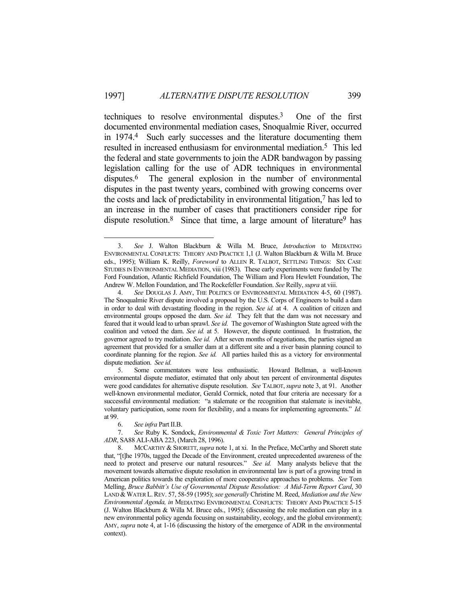techniques to resolve environmental disputes.3 One of the first documented environmental mediation cases, Snoqualmie River, occurred in 1974.4 Such early successes and the literature documenting them resulted in increased enthusiasm for environmental mediation.5 This led the federal and state governments to join the ADR bandwagon by passing legislation calling for the use of ADR techniques in environmental disputes.<sup>6</sup> The general explosion in the number of environmental disputes in the past twenty years, combined with growing concerns over the costs and lack of predictability in environmental litigation,7 has led to an increase in the number of cases that practitioners consider ripe for dispute resolution.<sup>8</sup> Since that time, a large amount of literature<sup>9</sup> has

 <sup>3.</sup> *See* J. Walton Blackburn & Willa M. Bruce, *Introduction* to MEDIATING ENVIRONMENTAL CONFLICTS: THEORY AND PRACTICE 1,1 (J. Walton Blackburn & Willa M. Bruce eds., 1995); William K. Reilly, *Foreword* to ALLEN R. TALBOT, SETTLING THINGS: SIX CASE STUDIES IN ENVIRONMENTAL MEDIATION, viii (1983). These early experiments were funded by The Ford Foundation, Atlantic Richfield Foundation, The William and Flora Hewlett Foundation, The Andrew W. Mellon Foundation, and The Rockefeller Foundation. *See* Reilly, *supra* at viii.

 <sup>4.</sup> *See* DOUGLAS J. AMY, THE POLITICS OF ENVIRONMENTAL MEDIATION 4-5, 60 (1987). The Snoqualmie River dispute involved a proposal by the U.S. Corps of Engineers to build a dam in order to deal with devastating flooding in the region. *See id.* at 4. A coalition of citizen and environmental groups opposed the dam. *See id.* They felt that the dam was not necessary and feared that it would lead to urban sprawl. *See id.* The governor of Washington State agreed with the coalition and vetoed the dam. *See id.* at 5. However, the dispute continued. In frustration, the governor agreed to try mediation. *See id.* After seven months of negotiations, the parties signed an agreement that provided for a smaller dam at a different site and a river basin planning council to coordinate planning for the region. *See id.* All parties hailed this as a victory for environmental dispute mediation. *See id.*

 <sup>5.</sup> Some commentators were less enthusiastic. Howard Bellman, a well-known environmental dispute mediator, estimated that only about ten percent of environmental disputes were good candidates for alternative dispute resolution. *See* TALBOT,*supra* note 3, at 91. Another well-known environmental mediator, Gerald Cormick, noted that four criteria are necessary for a successful environmental mediation: "a stalemate or the recognition that stalemate is inevitable, voluntary participation, some room for flexibility, and a means for implementing agreements." *Id.* at 99.

 <sup>6.</sup> *See infra* Part II.B.

 <sup>7.</sup> *See* Ruby K. Sondock, *Environmental & Toxic Tort Matters: General Principles of ADR*, SA88 ALI-ABA 223, (March 28, 1996).

 <sup>8.</sup> MCCARTHY & SHORETT,*supra* note 1, at xi. In the Preface, McCarthy and Shorett state that, "[t]he 1970s, tagged the Decade of the Environment, created unprecedented awareness of the need to protect and preserve our natural resources." *See id.* Many analysts believe that the movement towards alternative dispute resolution in environmental law is part of a growing trend in American politics towards the exploration of more cooperative approaches to problems. *See* Tom Melling, *Bruce Babbitt's Use of Governmental Dispute Resolution: A Mid-Term Report Card*, 30 LAND & WATER L. REV. 57, 58-59 (1995); see generally Christine M. Reed, *Mediation and the New Environmental Agenda, in* MEDIATING ENVIRONMENTAL CONFLICTS: THEORY AND PRACTICE 5-15 (J. Walton Blackburn & Willa M. Bruce eds., 1995); (discussing the role mediation can play in a new environmental policy agenda focusing on sustainability, ecology, and the global environment); AMY, *supra* note 4, at 1-16 (discussing the history of the emergence of ADR in the environmental context).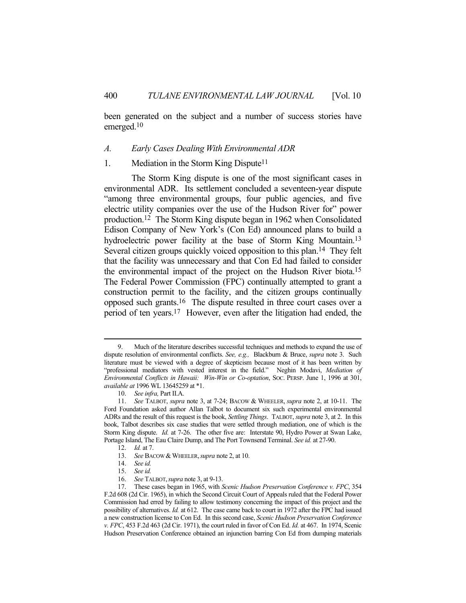been generated on the subject and a number of success stories have emerged.10

#### *A. Early Cases Dealing With Environmental ADR*

#### 1. Mediation in the Storm King Dispute<sup>11</sup>

 The Storm King dispute is one of the most significant cases in environmental ADR. Its settlement concluded a seventeen-year dispute "among three environmental groups, four public agencies, and five electric utility companies over the use of the Hudson River for" power production.12 The Storm King dispute began in 1962 when Consolidated Edison Company of New York's (Con Ed) announced plans to build a hydroelectric power facility at the base of Storm King Mountain.<sup>13</sup> Several citizen groups quickly voiced opposition to this plan.14 They felt that the facility was unnecessary and that Con Ed had failed to consider the environmental impact of the project on the Hudson River biota.15 The Federal Power Commission (FPC) continually attempted to grant a construction permit to the facility, and the citizen groups continually opposed such grants.16 The dispute resulted in three court cases over a period of ten years.17 However, even after the litigation had ended, the

 <sup>9.</sup> Much of the literature describes successful techniques and methods to expand the use of dispute resolution of environmental conflicts. *See, e.g.,* Blackburn & Bruce, *supra* note 3. Such literature must be viewed with a degree of skepticism because most of it has been written by "professional mediators with vested interest in the field." Neghin Modavi, *Mediation of Environmental Conflicts in Hawaii: Win-Win or Co-optation*, SOC. PERSP. June 1, 1996 at 301, *available at* 1996 WL 13645259 at \*1.

 <sup>10.</sup> *See infra,* Part II.A.

 <sup>11.</sup> *See* TALBOT, *supra* note 3, at 7-24; BACOW & WHEELER, *supra* note 2, at 10-11. The Ford Foundation asked author Allan Talbot to document six such experimental environmental ADRs and the result of this request is the book, *Settling Things*. TALBOT, *supra* note 3, at 2. In this book, Talbot describes six case studies that were settled through mediation, one of which is the Storm King dispute. *Id.* at 7-26. The other five are: Interstate 90, Hydro Power at Swan Lake, Portage Island, The Eau Claire Dump, and The Port Townsend Terminal. *See id.* at 27-90.

 <sup>12.</sup> *Id.* at 7.

<sup>13.</sup> *See BACOW & WHEELER, supra note 2, at 10.* 

 <sup>14.</sup> *See id.*

 <sup>15.</sup> *See id.*

 <sup>16.</sup> *See* TALBOT,*supra* note 3, at 9-13.

 <sup>17.</sup> These cases began in 1965, with *Scenic Hudson Preservation Conference v. FPC*, 354 F.2d 608 (2d Cir. 1965), in which the Second Circuit Court of Appeals ruled that the Federal Power Commission had erred by failing to allow testimony concerning the impact of this project and the possibility of alternatives. *Id.* at 612. The case came back to court in 1972 after the FPC had issued a new construction license to Con Ed. In this second case, *Scenic Hudson Preservation Conference v. FPC*, 453 F.2d 463 (2d Cir. 1971), the court ruled in favor of Con Ed. *Id.* at 467. In 1974, Scenic Hudson Preservation Conference obtained an injunction barring Con Ed from dumping materials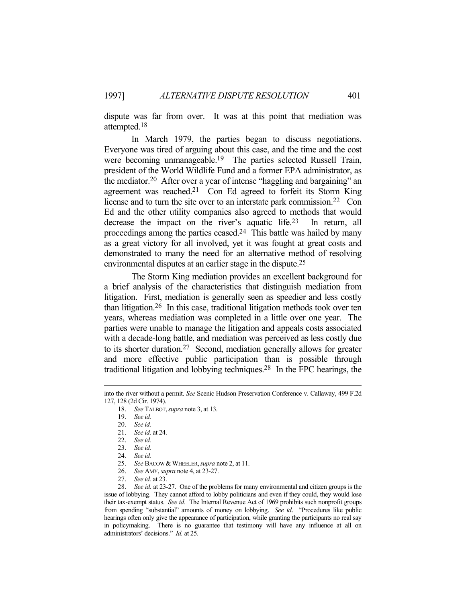dispute was far from over. It was at this point that mediation was attempted.18

 In March 1979, the parties began to discuss negotiations. Everyone was tired of arguing about this case, and the time and the cost were becoming unmanageable.<sup>19</sup> The parties selected Russell Train, president of the World Wildlife Fund and a former EPA administrator, as the mediator.20 After over a year of intense "haggling and bargaining" an agreement was reached.21 Con Ed agreed to forfeit its Storm King license and to turn the site over to an interstate park commission.<sup>22</sup> Con Ed and the other utility companies also agreed to methods that would decrease the impact on the river's aquatic life.23 In return, all proceedings among the parties ceased.24 This battle was hailed by many as a great victory for all involved, yet it was fought at great costs and demonstrated to many the need for an alternative method of resolving environmental disputes at an earlier stage in the dispute.25

 The Storm King mediation provides an excellent background for a brief analysis of the characteristics that distinguish mediation from litigation. First, mediation is generally seen as speedier and less costly than litigation.26 In this case, traditional litigation methods took over ten years, whereas mediation was completed in a little over one year. The parties were unable to manage the litigation and appeals costs associated with a decade-long battle, and mediation was perceived as less costly due to its shorter duration.27 Second, mediation generally allows for greater and more effective public participation than is possible through traditional litigation and lobbying techniques.28 In the FPC hearings, the

25. *See BACOW & WHEELER, supra note 2, at 11.* 

27. *See id.* at 23.

into the river without a permit. *See* Scenic Hudson Preservation Conference v. Callaway, 499 F.2d 127, 128 (2d Cir. 1974).

 <sup>18.</sup> *See* TALBOT,*supra* note 3, at 13.

 <sup>19.</sup> *See id.*

 <sup>20.</sup> *See id.*

 <sup>21.</sup> *See id.* at 24.

 <sup>22.</sup> *See id.*

 <sup>23.</sup> *See id.*

 <sup>24.</sup> *See id.*

 <sup>26.</sup> *See* AMY, *supra* note 4, at 23-27.

 <sup>28.</sup> *See id.* at 23-27. One of the problems for many environmental and citizen groups is the issue of lobbying. They cannot afford to lobby politicians and even if they could, they would lose their tax-exempt status. *See id.* The Internal Revenue Act of 1969 prohibits such nonprofit groups from spending "substantial" amounts of money on lobbying. *See id*. "Procedures like public hearings often only give the appearance of participation, while granting the participants no real say in policymaking. There is no guarantee that testimony will have any influence at all on administrators' decisions." *Id.* at 25.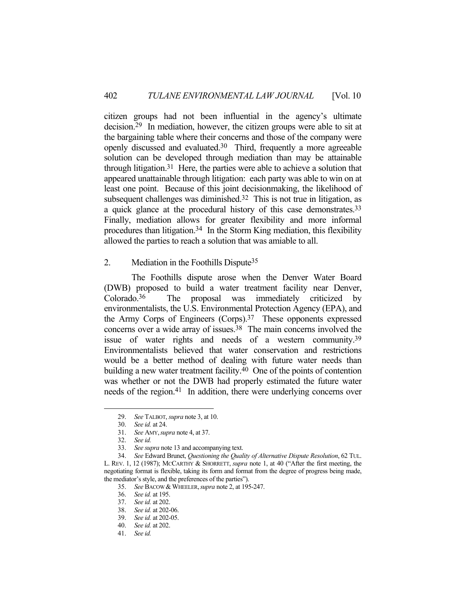citizen groups had not been influential in the agency's ultimate decision.29 In mediation, however, the citizen groups were able to sit at the bargaining table where their concerns and those of the company were openly discussed and evaluated.30 Third, frequently a more agreeable solution can be developed through mediation than may be attainable through litigation.<sup>31</sup> Here, the parties were able to achieve a solution that appeared unattainable through litigation: each party was able to win on at least one point. Because of this joint decisionmaking, the likelihood of subsequent challenges was diminished.<sup>32</sup> This is not true in litigation, as a quick glance at the procedural history of this case demonstrates.33 Finally, mediation allows for greater flexibility and more informal procedures than litigation.<sup>34</sup> In the Storm King mediation, this flexibility allowed the parties to reach a solution that was amiable to all.

2. Mediation in the Foothills Dispute35

 The Foothills dispute arose when the Denver Water Board (DWB) proposed to build a water treatment facility near Denver, Colorado.36 The proposal was immediately criticized by environmentalists, the U.S. Environmental Protection Agency (EPA), and the Army Corps of Engineers (Corps).37 These opponents expressed concerns over a wide array of issues.38 The main concerns involved the issue of water rights and needs of a western community.39 Environmentalists believed that water conservation and restrictions would be a better method of dealing with future water needs than building a new water treatment facility.<sup>40</sup> One of the points of contention was whether or not the DWB had properly estimated the future water needs of the region.41 In addition, there were underlying concerns over

 <sup>29.</sup> *See* TALBOT, *supra* note 3, at 10.

 <sup>30.</sup> *See id.* at 24.

 <sup>31.</sup> *See* AMY,*supra* note 4, at 37.

 <sup>32.</sup> *See id.*

 <sup>33.</sup> *See supra* note 13 and accompanying text.

 <sup>34.</sup> *See* Edward Brunet, *Questioning the Quality of Alternative Dispute Resolution*, 62 TUL. L. REV. 1, 12 (1987); MCCARTHY & SHORRETT, *supra* note 1, at 40 ("After the first meeting, the negotiating format is flexible, taking its form and format from the degree of progress being made, the mediator's style, and the preferences of the parties").

 <sup>35.</sup> *See* BACOW &WHEELER,*supra* note 2, at 195-247.

 <sup>36.</sup> *See id.* at 195.

 <sup>37.</sup> *See id.* at 202.

 <sup>38.</sup> *See id.* at 202-06.

 <sup>39.</sup> *See id.* at 202-05.

 <sup>40.</sup> *See id.* at 202.

 <sup>41.</sup> *See id.*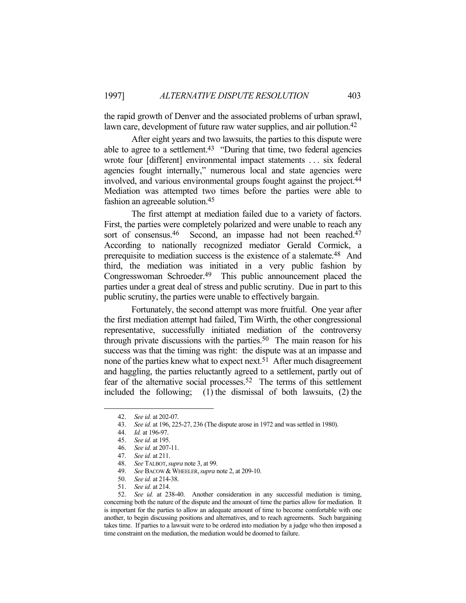the rapid growth of Denver and the associated problems of urban sprawl, lawn care, development of future raw water supplies, and air pollution.<sup>42</sup>

 After eight years and two lawsuits, the parties to this dispute were able to agree to a settlement.<sup>43</sup> "During that time, two federal agencies wrote four [different] environmental impact statements . . . six federal agencies fought internally," numerous local and state agencies were involved, and various environmental groups fought against the project.<sup>44</sup> Mediation was attempted two times before the parties were able to fashion an agreeable solution.45

 The first attempt at mediation failed due to a variety of factors. First, the parties were completely polarized and were unable to reach any sort of consensus.<sup>46</sup> Second, an impasse had not been reached.<sup>47</sup> According to nationally recognized mediator Gerald Cormick, a prerequisite to mediation success is the existence of a stalemate.<sup>48</sup> And third, the mediation was initiated in a very public fashion by Congresswoman Schroeder.49 This public announcement placed the parties under a great deal of stress and public scrutiny. Due in part to this public scrutiny, the parties were unable to effectively bargain.

 Fortunately, the second attempt was more fruitful. One year after the first mediation attempt had failed, Tim Wirth, the other congressional representative, successfully initiated mediation of the controversy through private discussions with the parties.<sup>50</sup> The main reason for his success was that the timing was right: the dispute was at an impasse and none of the parties knew what to expect next.<sup>51</sup> After much disagreement and haggling, the parties reluctantly agreed to a settlement, partly out of fear of the alternative social processes.52 The terms of this settlement included the following; (1) the dismissal of both lawsuits, (2) the

 <sup>42.</sup> *See id.* at 202-07.

 <sup>43.</sup> *See id.* at 196, 225-27, 236 (The dispute arose in 1972 and was settled in 1980).

 <sup>44.</sup> *Id.* at 196-97.

 <sup>45.</sup> *See id.* at 195.

 <sup>46.</sup> *See id.* at 207-11.

 <sup>47.</sup> *See id.* at 211.

 <sup>48.</sup> *See* TALBOT,*supra* note 3, at 99.

<sup>49.</sup> *See BACOW & WHEELER, supra note 2, at 209-10.* 

 <sup>50.</sup> *See id.* at 214-38.

 <sup>51.</sup> *See id.* at 214.

 <sup>52.</sup> *See id.* at 238-40. Another consideration in any successful mediation is timing, concerning both the nature of the dispute and the amount of time the parties allow for mediation. It is important for the parties to allow an adequate amount of time to become comfortable with one another, to begin discussing positions and alternatives, and to reach agreements. Such bargaining takes time. If parties to a lawsuit were to be ordered into mediation by a judge who then imposed a time constraint on the mediation, the mediation would be doomed to failure.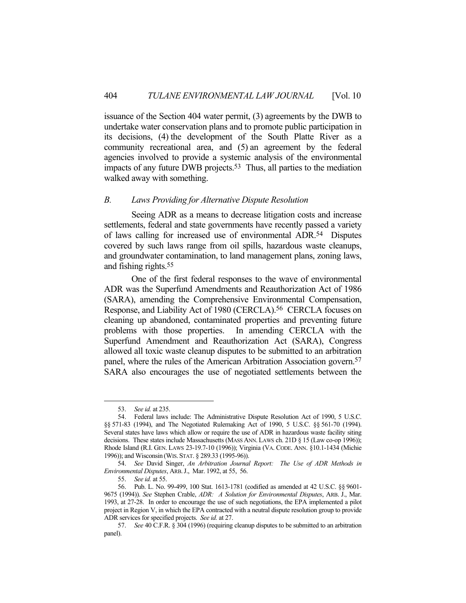issuance of the Section 404 water permit, (3) agreements by the DWB to undertake water conservation plans and to promote public participation in its decisions, (4) the development of the South Platte River as a community recreational area, and (5) an agreement by the federal agencies involved to provide a systemic analysis of the environmental impacts of any future DWB projects.<sup>53</sup> Thus, all parties to the mediation walked away with something.

#### *B. Laws Providing for Alternative Dispute Resolution*

 Seeing ADR as a means to decrease litigation costs and increase settlements, federal and state governments have recently passed a variety of laws calling for increased use of environmental ADR.54 Disputes covered by such laws range from oil spills, hazardous waste cleanups, and groundwater contamination, to land management plans, zoning laws, and fishing rights.55

 One of the first federal responses to the wave of environmental ADR was the Superfund Amendments and Reauthorization Act of 1986 (SARA), amending the Comprehensive Environmental Compensation, Response, and Liability Act of 1980 (CERCLA).56 CERCLA focuses on cleaning up abandoned, contaminated properties and preventing future problems with those properties. In amending CERCLA with the Superfund Amendment and Reauthorization Act (SARA), Congress allowed all toxic waste cleanup disputes to be submitted to an arbitration panel, where the rules of the American Arbitration Association govern.57 SARA also encourages the use of negotiated settlements between the

 <sup>53.</sup> *See id.* at 235.

 <sup>54.</sup> Federal laws include: The Administrative Dispute Resolution Act of 1990, 5 U.S.C. §§ 571-83 (1994), and The Negotiated Rulemaking Act of 1990, 5 U.S.C. §§ 561-70 (1994). Several states have laws which allow or require the use of ADR in hazardous waste facility siting decisions. These states include Massachusetts (MASS ANN. LAWS ch. 21D § 15 (Law co-op 1996)); Rhode Island (R.I. GEN. LAWS 23-19.7-10 (1996)); Virginia (VA. CODE. ANN. §10.1-1434 (Michie 1996)); and Wisconsin (WIS. STAT. § 289.33 (1995-96)).

 <sup>54.</sup> *See* David Singer, *An Arbitration Journal Report: The Use of ADR Methods in Environmental Disputes*, ARB.J., Mar. 1992, at 55, 56.

 <sup>55.</sup> *See id.* at 55.

 <sup>56.</sup> Pub. L. No. 99-499, 100 Stat. 1613-1781 (codified as amended at 42 U.S.C. §§ 9601- 9675 (1994)). *See* Stephen Crable, *ADR: A Solution for Environmental Disputes*, ARB. J., Mar. 1993, at 27-28. In order to encourage the use of such negotiations, the EPA implemented a pilot project in Region V, in which the EPA contracted with a neutral dispute resolution group to provide ADR services for specified projects. *See id.* at 27.

 <sup>57.</sup> *See* 40 C.F.R. § 304 (1996) (requiring cleanup disputes to be submitted to an arbitration panel).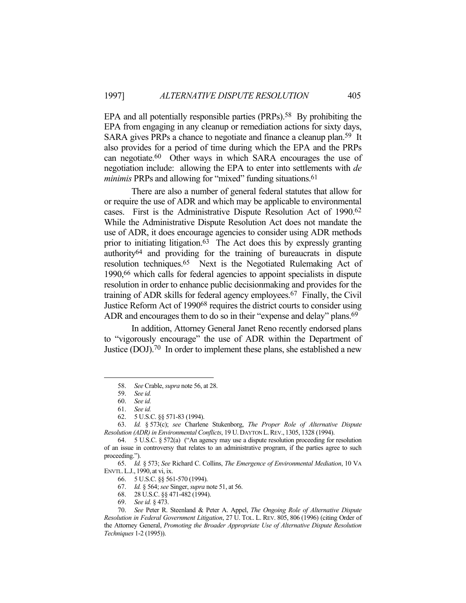EPA and all potentially responsible parties (PRPs).<sup>58</sup> By prohibiting the EPA from engaging in any cleanup or remediation actions for sixty days, SARA gives PRPs a chance to negotiate and finance a cleanup plan.<sup>59</sup> It also provides for a period of time during which the EPA and the PRPs can negotiate.60 Other ways in which SARA encourages the use of negotiation include: allowing the EPA to enter into settlements with *de minimis* PRPs and allowing for "mixed" funding situations.<sup>61</sup>

 There are also a number of general federal statutes that allow for or require the use of ADR and which may be applicable to environmental cases. First is the Administrative Dispute Resolution Act of 1990.62 While the Administrative Dispute Resolution Act does not mandate the use of ADR, it does encourage agencies to consider using ADR methods prior to initiating litigation.<sup>63</sup> The Act does this by expressly granting authority64 and providing for the training of bureaucrats in dispute resolution techniques.65 Next is the Negotiated Rulemaking Act of 1990,66 which calls for federal agencies to appoint specialists in dispute resolution in order to enhance public decisionmaking and provides for the training of ADR skills for federal agency employees.67 Finally, the Civil Justice Reform Act of 199068 requires the district courts to consider using ADR and encourages them to do so in their "expense and delay" plans.<sup>69</sup>

 In addition, Attorney General Janet Reno recently endorsed plans to "vigorously encourage" the use of ADR within the Department of Justice (DOJ).70 In order to implement these plans, she established a new

 <sup>58.</sup> *See* Crable, *supra* note 56, at 28.

 <sup>59.</sup> *See id.*

 <sup>60.</sup> *See id.*

 <sup>61.</sup> *See id.*

 <sup>62. 5</sup> U.S.C. §§ 571-83 (1994).

 <sup>63.</sup> *Id.* § 573(c); *see* Charlene Stukenborg, *The Proper Role of Alternative Dispute Resolution (ADR) in Environmental Conflicts*, 19 U. DAYTON L.REV., 1305, 1328 (1994).

 <sup>64. 5</sup> U.S.C. § 572(a) ("An agency may use a dispute resolution proceeding for resolution of an issue in controversy that relates to an administrative program, if the parties agree to such proceeding.").

 <sup>65.</sup> *Id.* § 573; *See* Richard C. Collins, *The Emergence of Environmental Mediation*, 10 VA ENVTL.L.J., 1990, at vi, ix.

 <sup>66. 5</sup> U.S.C. §§ 561-570 (1994).

 <sup>67.</sup> *Id.* § 564; *see* Singer, *supra* note 51, at 56.

 <sup>68. 28</sup> U.S.C. §§ 471-482 (1994).

 <sup>69.</sup> *See id.* § 473.

 <sup>70.</sup> *See* Peter R. Steenland & Peter A. Appel, *The Ongoing Role of Alternative Dispute Resolution in Federal Government Litigation*, 27 U. TOL. L. REV. 805, 806 (1996) (citing Order of the Attorney General, *Promoting the Broader Appropriate Use of Alternative Dispute Resolution Techniques* 1-2 (1995)).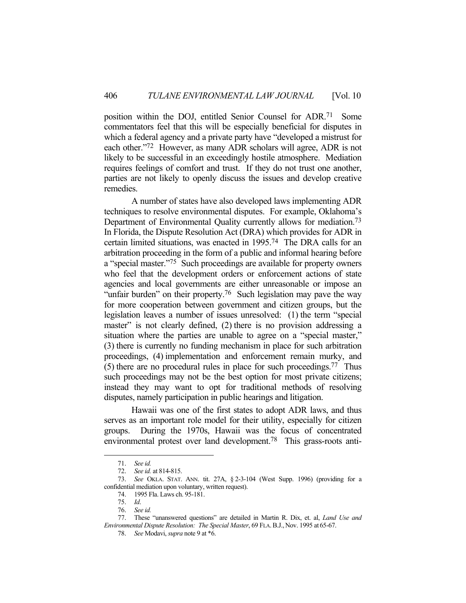position within the DOJ, entitled Senior Counsel for ADR.71 Some commentators feel that this will be especially beneficial for disputes in which a federal agency and a private party have "developed a mistrust for each other."72 However, as many ADR scholars will agree, ADR is not likely to be successful in an exceedingly hostile atmosphere. Mediation requires feelings of comfort and trust. If they do not trust one another, parties are not likely to openly discuss the issues and develop creative remedies.

 A number of states have also developed laws implementing ADR techniques to resolve environmental disputes. For example, Oklahoma's Department of Environmental Quality currently allows for mediation.<sup>73</sup> In Florida, the Dispute Resolution Act (DRA) which provides for ADR in certain limited situations, was enacted in 1995.74 The DRA calls for an arbitration proceeding in the form of a public and informal hearing before a "special master."75 Such proceedings are available for property owners who feel that the development orders or enforcement actions of state agencies and local governments are either unreasonable or impose an "unfair burden" on their property.<sup>76</sup> Such legislation may pave the way for more cooperation between government and citizen groups, but the legislation leaves a number of issues unresolved: (1) the term "special master" is not clearly defined, (2) there is no provision addressing a situation where the parties are unable to agree on a "special master," (3) there is currently no funding mechanism in place for such arbitration proceedings, (4) implementation and enforcement remain murky, and (5) there are no procedural rules in place for such proceedings. 77 Thus such proceedings may not be the best option for most private citizens; instead they may want to opt for traditional methods of resolving disputes, namely participation in public hearings and litigation.

 Hawaii was one of the first states to adopt ADR laws, and thus serves as an important role model for their utility, especially for citizen groups. During the 1970s, Hawaii was the focus of concentrated environmental protest over land development.78 This grass-roots anti-

 <sup>71.</sup> *See id.*

 <sup>72.</sup> *See id.* at 814-815.

 <sup>73.</sup> *See* OKLA. STAT. ANN. tit. 27A, § 2-3-104 (West Supp. 1996) (providing for a confidential mediation upon voluntary, written request).

 <sup>74. 1995</sup> Fla. Laws ch. 95-181.

 <sup>75.</sup> *Id*.

 <sup>76.</sup> *See id.*

 <sup>77.</sup> These "unanswered questions" are detailed in Martin R. Dix, et. al, *Land Use and Environmental Dispute Resolution: The Special Master*, 69 FLA. B.J., Nov. 1995 at 65-67.

 <sup>78.</sup> *See* Modavi, *supra* note 9 at \*6.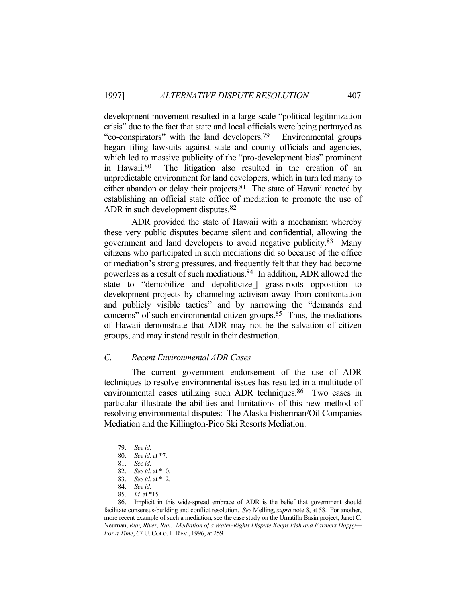development movement resulted in a large scale "political legitimization crisis" due to the fact that state and local officials were being portrayed as "co-conspirators" with the land developers.79 Environmental groups began filing lawsuits against state and county officials and agencies, which led to massive publicity of the "pro-development bias" prominent in Hawaii.80 The litigation also resulted in the creation of an unpredictable environment for land developers, which in turn led many to either abandon or delay their projects.81 The state of Hawaii reacted by establishing an official state office of mediation to promote the use of ADR in such development disputes.<sup>82</sup>

 ADR provided the state of Hawaii with a mechanism whereby these very public disputes became silent and confidential, allowing the government and land developers to avoid negative publicity.83 Many citizens who participated in such mediations did so because of the office of mediation's strong pressures, and frequently felt that they had become powerless as a result of such mediations.84 In addition, ADR allowed the state to "demobilize and depoliticize[] grass-roots opposition to development projects by channeling activism away from confrontation and publicly visible tactics" and by narrowing the "demands and concerns" of such environmental citizen groups.85 Thus, the mediations of Hawaii demonstrate that ADR may not be the salvation of citizen groups, and may instead result in their destruction.

# *C. Recent Environmental ADR Cases*

 The current government endorsement of the use of ADR techniques to resolve environmental issues has resulted in a multitude of environmental cases utilizing such ADR techniques.<sup>86</sup> Two cases in particular illustrate the abilities and limitations of this new method of resolving environmental disputes: The Alaska Fisherman/Oil Companies Mediation and the Killington-Pico Ski Resorts Mediation.

 <sup>79.</sup> *See id.*

 <sup>80.</sup> *See id.* at \*7.

 <sup>81.</sup> *See id.*

 <sup>82.</sup> *See id.* at \*10.

 <sup>83.</sup> *See id.* at \*12.

 <sup>84.</sup> *See id.* 

 <sup>85.</sup> *Id.* at \*15.

 <sup>86.</sup> Implicit in this wide-spread embrace of ADR is the belief that government should facilitate consensus-building and conflict resolution. *See* Melling, *supra* note 8, at 58. For another, more recent example of such a mediation, see the case study on the Umatilla Basin project, Janet C. Neuman, *Run, River, Run: Mediation of a Water-Rights Dispute Keeps Fish and Farmers Happy— For a Time*, 67 U.COLO.L.REV., 1996, at 259.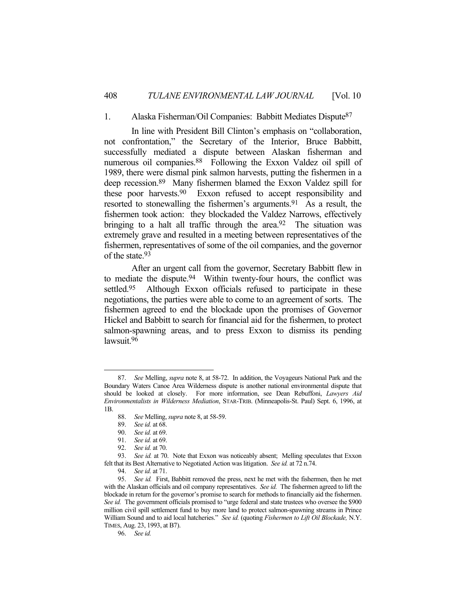#### 1. Alaska Fisherman/Oil Companies: Babbitt Mediates Dispute87

 In line with President Bill Clinton's emphasis on "collaboration, not confrontation," the Secretary of the Interior, Bruce Babbitt, successfully mediated a dispute between Alaskan fisherman and numerous oil companies.<sup>88</sup> Following the Exxon Valdez oil spill of 1989, there were dismal pink salmon harvests, putting the fishermen in a deep recession.89 Many fishermen blamed the Exxon Valdez spill for these poor harvests.90 Exxon refused to accept responsibility and resorted to stonewalling the fishermen's arguments.91 As a result, the fishermen took action: they blockaded the Valdez Narrows, effectively bringing to a halt all traffic through the area.<sup>92</sup> The situation was extremely grave and resulted in a meeting between representatives of the fishermen, representatives of some of the oil companies, and the governor of the state.93

 After an urgent call from the governor, Secretary Babbitt flew in to mediate the dispute.<sup>94</sup> Within twenty-four hours, the conflict was settled.<sup>95</sup> Although Exxon officials refused to participate in these negotiations, the parties were able to come to an agreement of sorts. The fishermen agreed to end the blockade upon the promises of Governor Hickel and Babbitt to search for financial aid for the fishermen, to protect salmon-spawning areas, and to press Exxon to dismiss its pending lawsuit.96

 <sup>87.</sup> *See* Melling, *supra* note 8, at 58-72. In addition, the Voyageurs National Park and the Boundary Waters Canoe Area Wilderness dispute is another national environmental dispute that should be looked at closely. For more information, see Dean Rebuffoni, *Lawyers Aid Environmentalists in Wilderness Mediation*, STAR-TRIB. (Minneapolis-St. Paul) Sept. 6, 1996, at 1B.

 <sup>88.</sup> *See* Melling, *supra* note 8, at 58-59.

 <sup>89.</sup> *See id.* at 68.

 <sup>90.</sup> *See id.* at 69.

 <sup>91.</sup> *See id.* at 69.

 <sup>92.</sup> *See id.* at 70.

 <sup>93.</sup> *See id.* at 70. Note that Exxon was noticeably absent; Melling speculates that Exxon felt that its Best Alternative to Negotiated Action was litigation. *See id.* at 72 n.74.

 <sup>94.</sup> *See id.* at 71.

 <sup>95.</sup> *See id.* First, Babbitt removed the press, next he met with the fishermen, then he met with the Alaskan officials and oil company representatives. *See id.* The fishermen agreed to lift the blockade in return for the governor's promise to search for methods to financially aid the fishermen. *See id.* The government officials promised to "urge federal and state trustees who oversee the \$900 million civil spill settlement fund to buy more land to protect salmon-spawning streams in Prince William Sound and to aid local hatcheries." *See id.* (quoting *Fishermen to Lift Oil Blockade,* N.Y. TIMES, Aug. 23, 1993, at B7).

 <sup>96.</sup> *See id.*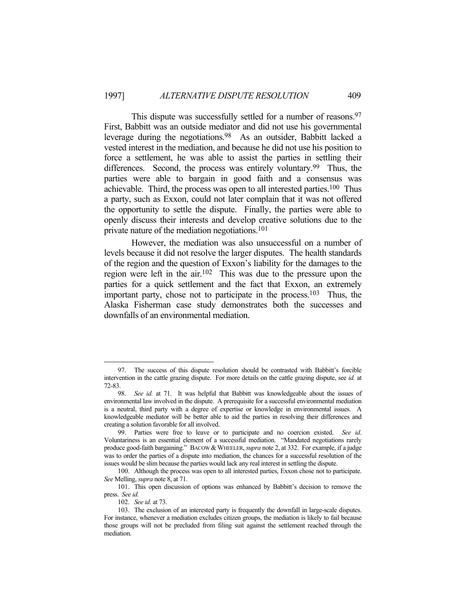This dispute was successfully settled for a number of reasons.<sup>97</sup> First, Babbitt was an outside mediator and did not use his governmental leverage during the negotiations.98 As an outsider, Babbitt lacked a vested interest in the mediation, and because he did not use his position to force a settlement, he was able to assist the parties in settling their differences. Second, the process was entirely voluntary.<sup>99</sup> Thus, the parties were able to bargain in good faith and a consensus was achievable. Third, the process was open to all interested parties.100 Thus a party, such as Exxon, could not later complain that it was not offered the opportunity to settle the dispute. Finally, the parties were able to openly discuss their interests and develop creative solutions due to the private nature of the mediation negotiations.101

 However, the mediation was also unsuccessful on a number of levels because it did not resolve the larger disputes. The health standards of the region and the question of Exxon's liability for the damages to the region were left in the air.102 This was due to the pressure upon the parties for a quick settlement and the fact that Exxon, an extremely important party, chose not to participate in the process.<sup>103</sup> Thus, the Alaska Fisherman case study demonstrates both the successes and downfalls of an environmental mediation.

 <sup>97.</sup> The success of this dispute resolution should be contrasted with Babbitt's forcible intervention in the cattle grazing dispute. For more details on the cattle grazing dispute, see *id.* at 72-83.

 <sup>98.</sup> *See id.* at 71. It was helpful that Babbitt was knowledgeable about the issues of environmental law involved in the dispute. A prerequisite for a successful environmental mediation is a neutral, third party with a degree of expertise or knowledge in environmental issues. A knowledgeable mediator will be better able to aid the parties in resolving their differences and creating a solution favorable for all involved.

 <sup>99.</sup> Parties were free to leave or to participate and no coercion existed. *See id*. Voluntariness is an essential element of a successful mediation. "Mandated negotiations rarely produce good-faith bargaining." BACOW & WHEELER, *supra* note 2, at 332. For example, if a judge was to order the parties of a dispute into mediation, the chances for a successful resolution of the issues would be slim because the parties would lack any real interest in settling the dispute.

 <sup>100.</sup> Although the process was open to all interested parties, Exxon chose not to participate. *See* Melling, *supra* note 8, at 71.

 <sup>101.</sup> This open discussion of options was enhanced by Babbitt's decision to remove the press. *See id.*

 <sup>102.</sup> *See id.* at 73.

 <sup>103.</sup> The exclusion of an interested party is frequently the downfall in large-scale disputes. For instance, whenever a mediation excludes citizen groups, the mediation is likely to fail because those groups will not be precluded from filing suit against the settlement reached through the mediation.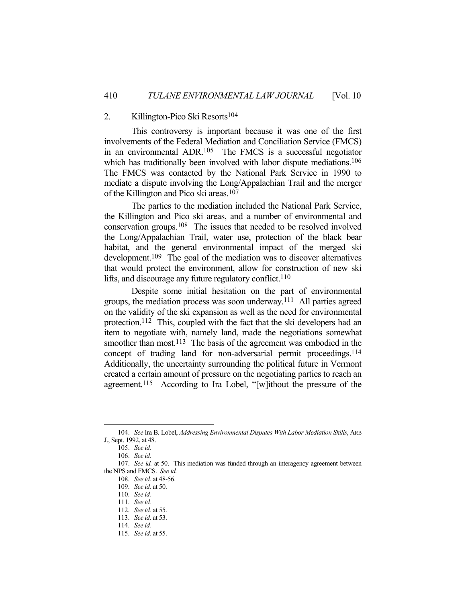#### 2. Killington-Pico Ski Resorts<sup>104</sup>

 This controversy is important because it was one of the first involvements of the Federal Mediation and Conciliation Service (FMCS) in an environmental ADR.105 The FMCS is a successful negotiator which has traditionally been involved with labor dispute mediations.<sup>106</sup> The FMCS was contacted by the National Park Service in 1990 to mediate a dispute involving the Long/Appalachian Trail and the merger of the Killington and Pico ski areas.107

 The parties to the mediation included the National Park Service, the Killington and Pico ski areas, and a number of environmental and conservation groups.108 The issues that needed to be resolved involved the Long/Appalachian Trail, water use, protection of the black bear habitat, and the general environmental impact of the merged ski development.109 The goal of the mediation was to discover alternatives that would protect the environment, allow for construction of new ski lifts, and discourage any future regulatory conflict.<sup>110</sup>

 Despite some initial hesitation on the part of environmental groups, the mediation process was soon underway.111 All parties agreed on the validity of the ski expansion as well as the need for environmental protection.112 This, coupled with the fact that the ski developers had an item to negotiate with, namely land, made the negotiations somewhat smoother than most.<sup>113</sup> The basis of the agreement was embodied in the concept of trading land for non-adversarial permit proceedings.114 Additionally, the uncertainty surrounding the political future in Vermont created a certain amount of pressure on the negotiating parties to reach an agreement.<sup>115</sup> According to Ira Lobel, "[w]ithout the pressure of the

 <sup>104.</sup> *See* Ira B. Lobel, *Addressing Environmental Disputes With Labor Mediation Skills*, ARB J., Sept. 1992, at 48.

 <sup>105.</sup> *See id.*

 <sup>106.</sup> *See id.*

 <sup>107.</sup> *See id.* at 50. This mediation was funded through an interagency agreement between the NPS and FMCS. *See id.*

 <sup>108.</sup> *See id.* at 48-56.

 <sup>109.</sup> *See id.* at 50.

 <sup>110.</sup> *See id.*

 <sup>111.</sup> *See id.*

 <sup>112.</sup> *See id.* at 55.

 <sup>113.</sup> *See id.* at 53.

 <sup>114.</sup> *See id.*

 <sup>115.</sup> *See id.* at 55.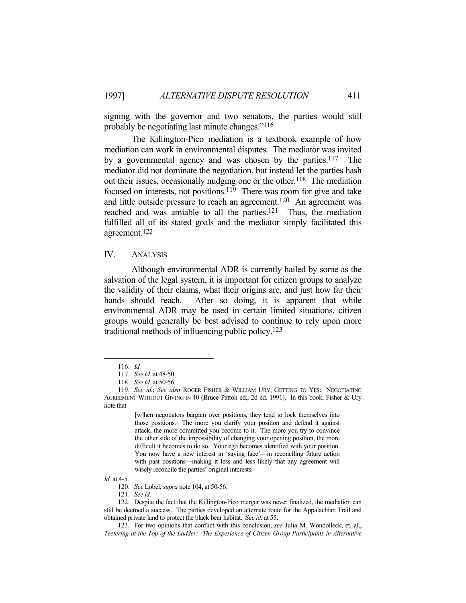signing with the governor and two senators, the parties would still probably be negotiating last minute changes."116

 The Killington-Pico mediation is a textbook example of how mediation can work in environmental disputes. The mediator was invited by a governmental agency and was chosen by the parties.117 The mediator did not dominate the negotiation, but instead let the parties hash out their issues, occasionally nudging one or the other.<sup>118</sup> The mediation focused on interests, not positions.<sup>119</sup> There was room for give and take and little outside pressure to reach an agreement.120 An agreement was reached and was amiable to all the parties.121 Thus, the mediation fulfilled all of its stated goals and the mediator simply facilitated this agreement.122

#### IV. ANALYSIS

 Although environmental ADR is currently hailed by some as the salvation of the legal system, it is important for citizen groups to analyze the validity of their claims, what their origins are, and just how far their hands should reach. After so doing, it is apparent that while environmental ADR may be used in certain limited situations, citizen groups would generally be best advised to continue to rely upon more traditional methods of influencing public policy.123

1

*Id.* at 4-5.

 <sup>116.</sup> *Id.*

 <sup>117.</sup> *See id.* at 48-50.

 <sup>118.</sup> *See id.* at 50-56.

 <sup>119.</sup> *See id.*; *See also* ROGER FISHER & WILLIAM URY, GETTING TO YES: NEGOTIATING AGREEMENT WITHOUT GIVING IN 40 (Bruce Patton ed., 2d ed. 1991). In this book, Fisher & Ury note that

<sup>[</sup>w]hen negotiators bargain over positions, they tend to lock themselves into those positions. The more you clarify your position and defend it against attack, the more committed you become to it. The more you try to convince the other side of the impossibility of changing your opening position, the more difficult it becomes to do so. Your ego becomes identified with your position. You now have a new interest in 'saving face'—in reconciling future action with past positions—making it less and less likely that any agreement will wisely reconcile the parties' original interests.

 <sup>120.</sup> *See* Lobel, *supra* note 104, at 50-56.

 <sup>121.</sup> *See id.*

 <sup>122.</sup> Despite the fact that the Killington-Pico merger was never finalized, the mediation can still be deemed a success. The parties developed an alternate route for the Appalachian Trail and obtained private land to protect the black bear habitat. *See id.* at 55.

 <sup>123.</sup> For two opinions that conflict with this conclusion, *see* Julia M. Wondolleck, et. al., *Teetering at the Top of the Ladder: The Experience of Citizen Group Participants in Alternative*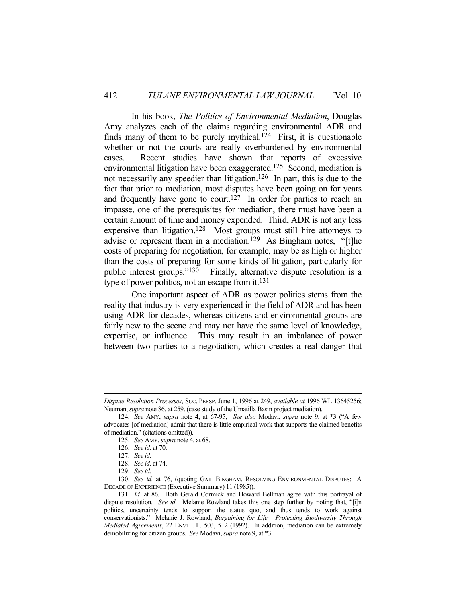In his book, *The Politics of Environmental Mediation*, Douglas Amy analyzes each of the claims regarding environmental ADR and finds many of them to be purely mythical.<sup>124</sup> First, it is questionable whether or not the courts are really overburdened by environmental cases. Recent studies have shown that reports of excessive environmental litigation have been exaggerated.125 Second, mediation is not necessarily any speedier than litigation.<sup>126</sup> In part, this is due to the fact that prior to mediation, most disputes have been going on for years and frequently have gone to court.<sup>127</sup> In order for parties to reach an impasse, one of the prerequisites for mediation, there must have been a certain amount of time and money expended. Third, ADR is not any less expensive than litigation.128 Most groups must still hire attorneys to advise or represent them in a mediation.<sup>129</sup> As Bingham notes, "[t]he costs of preparing for negotiation, for example, may be as high or higher than the costs of preparing for some kinds of litigation, particularly for public interest groups."130 Finally, alternative dispute resolution is a type of power politics, not an escape from it.<sup>131</sup>

 One important aspect of ADR as power politics stems from the reality that industry is very experienced in the field of ADR and has been using ADR for decades, whereas citizens and environmental groups are fairly new to the scene and may not have the same level of knowledge, expertise, or influence. This may result in an imbalance of power between two parties to a negotiation, which creates a real danger that

*Dispute Resolution Processes*, SOC. PERSP. June 1, 1996 at 249, *available at* 1996 WL 13645256; Neuman, *supra* note 86, at 259. (case study of the Umatilla Basin project mediation).

 <sup>124.</sup> *See* AMY, *supra* note 4, at 67-95; *See also* Modavi, *supra* note 9, at \*3 ("A few advocates [of mediation] admit that there is little empirical work that supports the claimed benefits of mediation." (citations omitted)).

 <sup>125.</sup> *See* AMY, *supra* note 4, at 68.

 <sup>126.</sup> *See id.* at 70.

 <sup>127.</sup> *See id.*

 <sup>128.</sup> *See id.* at 74.

 <sup>129.</sup> *See id.*

 <sup>130.</sup> *See id.* at 76, (quoting GAIL BINGHAM, RESOLVING ENVIRONMENTAL DISPUTES: A DECADE OF EXPERIENCE (Executive Summary) 11 (1985)).

 <sup>131.</sup> *Id.* at 86. Both Gerald Cormick and Howard Bellman agree with this portrayal of dispute resolution. *See id.* Melanie Rowland takes this one step further by noting that, "[i]n politics, uncertainty tends to support the status quo, and thus tends to work against conservationists." Melanie J. Rowland, *Bargaining for Life: Protecting Biodiversity Through Mediated Agreements*, 22 ENVTL. L. 503, 512 (1992). In addition, mediation can be extremely demobilizing for citizen groups. *See* Modavi, *supra* note 9, at \*3.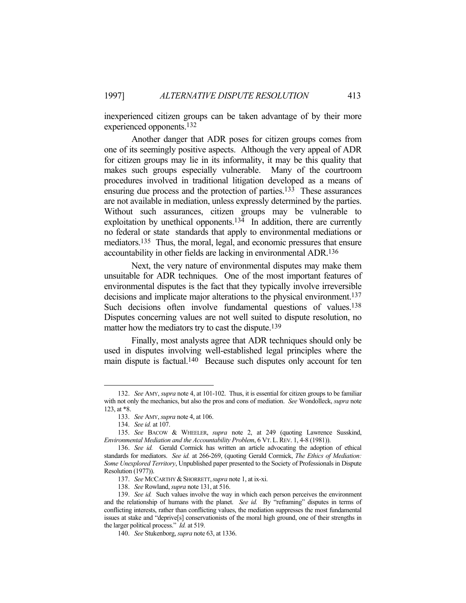inexperienced citizen groups can be taken advantage of by their more experienced opponents.132

 Another danger that ADR poses for citizen groups comes from one of its seemingly positive aspects. Although the very appeal of ADR for citizen groups may lie in its informality, it may be this quality that makes such groups especially vulnerable. Many of the courtroom procedures involved in traditional litigation developed as a means of ensuring due process and the protection of parties.133 These assurances are not available in mediation, unless expressly determined by the parties. Without such assurances, citizen groups may be vulnerable to exploitation by unethical opponents.<sup>134</sup> In addition, there are currently no federal or state standards that apply to environmental mediations or mediators.135 Thus, the moral, legal, and economic pressures that ensure accountability in other fields are lacking in environmental ADR. 136

 Next, the very nature of environmental disputes may make them unsuitable for ADR techniques. One of the most important features of environmental disputes is the fact that they typically involve irreversible decisions and implicate major alterations to the physical environment.<sup>137</sup> Such decisions often involve fundamental questions of values.<sup>138</sup> Disputes concerning values are not well suited to dispute resolution, no matter how the mediators try to cast the dispute.<sup>139</sup>

 Finally, most analysts agree that ADR techniques should only be used in disputes involving well-established legal principles where the main dispute is factual.140 Because such disputes only account for ten

 <sup>132.</sup> *See* AMY, *supra* note 4, at 101-102. Thus, it is essential for citizen groups to be familiar with not only the mechanics, but also the pros and cons of mediation. *See* Wondolleck, *supra* note 123, at \*8.

 <sup>133.</sup> *See* AMY, *supra* note 4, at 106.

 <sup>134.</sup> *See id.* at 107.

 <sup>135.</sup> *See* BACOW & WHEELER, *supra* note 2, at 249 (quoting Lawrence Susskind, *Environmental Mediation and the Accountability Problem*, 6 VT.L.REV. 1, 4-8 (1981)).

 <sup>136.</sup> *See id.* Gerald Cormick has written an article advocating the adoption of ethical standards for mediators. *See id.* at 266-269, (quoting Gerald Cormick, *The Ethics of Mediation: Some Unexplored Territory*, Unpublished paper presented to the Society of Professionals in Dispute Resolution (1977)).

<sup>137.</sup> *See MCCARTHY & SHORRETT, supra* note 1, at ix-xi.

 <sup>138.</sup> *See* Rowland, *supra* note 131, at 516.

 <sup>139.</sup> *See id.* Such values involve the way in which each person perceives the environment and the relationship of humans with the planet. *See id.* By "reframing" disputes in terms of conflicting interests, rather than conflicting values, the mediation suppresses the most fundamental issues at stake and "deprive[s] conservationists of the moral high ground, one of their strengths in the larger political process." *Id.* at 519.

 <sup>140.</sup> *See* Stukenborg, *supra* note 63, at 1336.